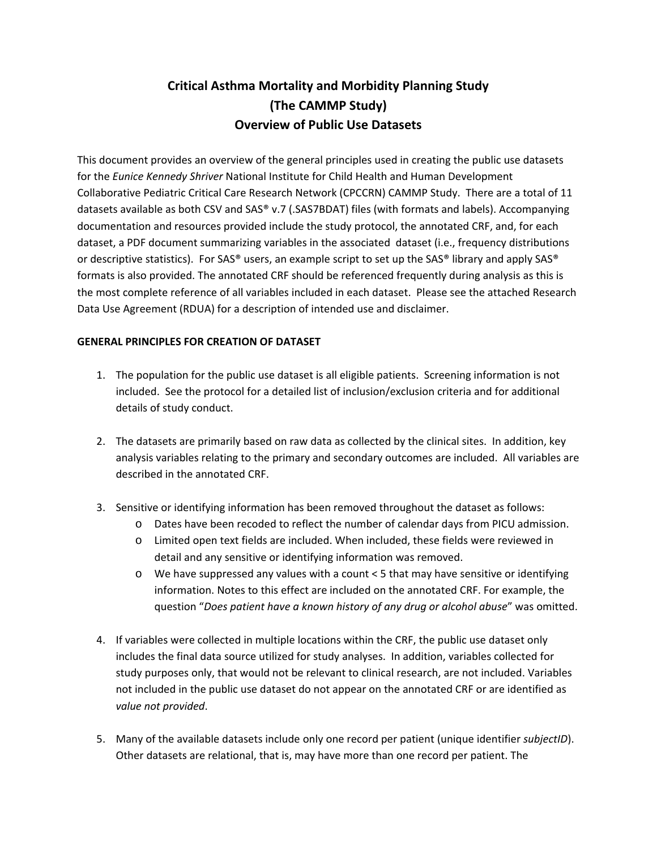## **Critical Asthma Mortality and Morbidity Planning Study (The CAMMP Study) Overview of Public Use Datasets**

This document provides an overview of the general principles used in creating the public use datasets for the *Eunice Kennedy Shriver* National Institute for Child Health and Human Development Collaborative Pediatric Critical Care Research Network (CPCCRN) CAMMP Study. There are a total of 11 datasets available as both CSV and SAS® v.7 (.SAS7BDAT) files (with formats and labels). Accompanying documentation and resources provided include the study protocol, the annotated CRF, and, for each dataset, a PDF document summarizing variables in the associated dataset (i.e., frequency distributions or descriptive statistics). For SAS® users, an example script to set up the SAS® library and apply SAS® formats is also provided. The annotated CRF should be referenced frequently during analysis as this is the most complete reference of all variables included in each dataset. Please see the attached Research Data Use Agreement (RDUA) for a description of intended use and disclaimer.

## **GENERAL PRINCIPLES FOR CREATION OF DATASET**

- 1. The population for the public use dataset is all eligible patients. Screening information is not included. See the protocol for a detailed list of inclusion/exclusion criteria and for additional details of study conduct.
- 2. The datasets are primarily based on raw data as collected by the clinical sites. In addition, key analysis variables relating to the primary and secondary outcomes are included. All variables are described in the annotated CRF.
- 3. Sensitive or identifying information has been removed throughout the dataset as follows:
	- o Dates have been recoded to reflect the number of calendar days from PICU admission.
	- o Limited open text fields are included. When included, these fields were reviewed in detail and any sensitive or identifying information was removed.
	- o We have suppressed any values with a count < 5 that may have sensitive or identifying information. Notes to this effect are included on the annotated CRF. For example, the question "*Does patient have a known history of any drug or alcohol abuse*" was omitted.
- 4. If variables were collected in multiple locations within the CRF, the public use dataset only includes the final data source utilized for study analyses. In addition, variables collected for study purposes only, that would not be relevant to clinical research, are not included. Variables not included in the public use dataset do not appear on the annotated CRF or are identified as *value not provided*.
- 5. Many of the available datasets include only one record per patient (unique identifier *subjectID*). Other datasets are relational, that is, may have more than one record per patient. The